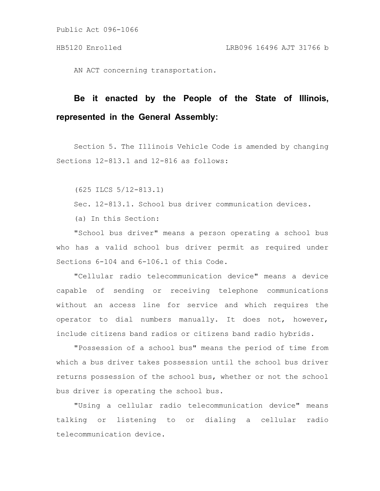AN ACT concerning transportation.

## **Be it enacted by the People of the State of Illinois, represented in the General Assembly:**

Section 5. The Illinois Vehicle Code is amended by changing Sections 12-813.1 and 12-816 as follows:

(625 ILCS 5/12-813.1)

Sec. 12-813.1. School bus driver communication devices.

(a) In this Section:

"School bus driver" means a person operating a school bus who has a valid school bus driver permit as required under Sections 6-104 and 6-106.1 of this Code.

"Cellular radio telecommunication device" means a device capable of sending or receiving telephone communications without an access line for service and which requires the operator to dial numbers manually. It does not, however, include citizens band radios or citizens band radio hybrids.

"Possession of a school bus" means the period of time from which a bus driver takes possession until the school bus driver returns possession of the school bus, whether or not the school bus driver is operating the school bus.

"Using a cellular radio telecommunication device" means talking or listening to or dialing a cellular radio telecommunication device.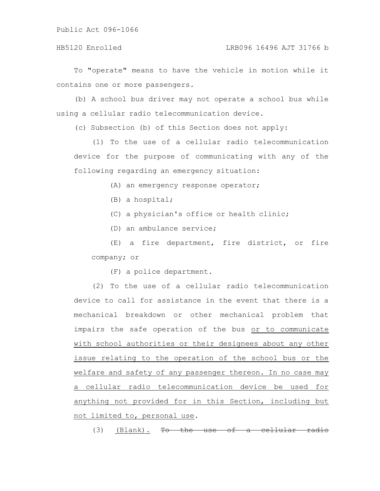To "operate" means to have the vehicle in motion while it contains one or more passengers.

(b) A school bus driver may not operate a school bus while using a cellular radio telecommunication device.

(c) Subsection (b) of this Section does not apply:

(1) To the use of a cellular radio telecommunication device for the purpose of communicating with any of the following regarding an emergency situation:

(A) an emergency response operator;

- (B) a hospital;
- (C) a physician's office or health clinic;
- (D) an ambulance service;

(E) a fire department, fire district, or fire company; or

(F) a police department.

(2) To the use of a cellular radio telecommunication device to call for assistance in the event that there is a mechanical breakdown or other mechanical problem that impairs the safe operation of the bus or to communicate with school authorities or their designees about any other issue relating to the operation of the school bus or the welfare and safety of any passenger thereon. In no case may a cellular radio telecommunication device be used for anything not provided for in this Section, including but not limited to, personal use.

(3) (Blank).  $\overline{\text{To}}$  the use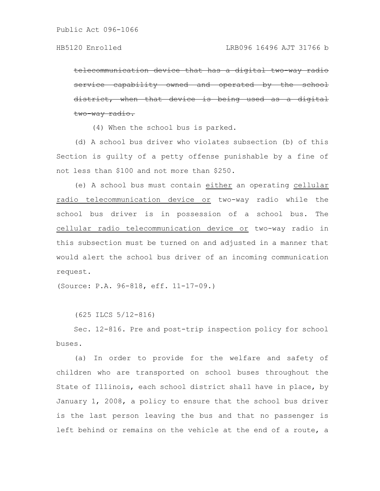telecommunication device that has a digital service capability owned and operated district, when that device is being used as a digital two-way radio.

(4) When the school bus is parked.

(d) A school bus driver who violates subsection (b) of this Section is guilty of a petty offense punishable by a fine of not less than \$100 and not more than \$250.

(e) A school bus must contain either an operating cellular radio telecommunication device or two-way radio while the school bus driver is in possession of a school bus. The cellular radio telecommunication device or two-way radio in this subsection must be turned on and adjusted in a manner that would alert the school bus driver of an incoming communication request.

(Source: P.A. 96-818, eff. 11-17-09.)

(625 ILCS 5/12-816)

Sec. 12-816. Pre and post-trip inspection policy for school buses.

(a) In order to provide for the welfare and safety of children who are transported on school buses throughout the State of Illinois, each school district shall have in place, by January 1, 2008, a policy to ensure that the school bus driver is the last person leaving the bus and that no passenger is left behind or remains on the vehicle at the end of a route, a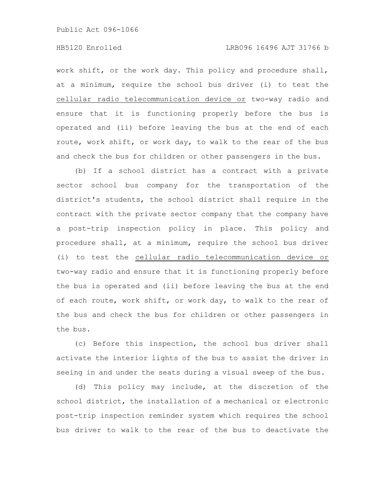work shift, or the work day. This policy and procedure shall, at a minimum, require the school bus driver (i) to test the cellular radio telecommunication device or two-way radio and ensure that it is functioning properly before the bus is operated and (ii) before leaving the bus at the end of each route, work shift, or work day, to walk to the rear of the bus and check the bus for children or other passengers in the bus.

(b) If a school district has a contract with a private sector school bus company for the transportation of the district's students, the school district shall require in the contract with the private sector company that the company have a post-trip inspection policy in place. This policy and procedure shall, at a minimum, require the school bus driver (i) to test the cellular radio telecommunication device or two-way radio and ensure that it is functioning properly before the bus is operated and (ii) before leaving the bus at the end of each route, work shift, or work day, to walk to the rear of the bus and check the bus for children or other passengers in the bus.

(c) Before this inspection, the school bus driver shall activate the interior lights of the bus to assist the driver in seeing in and under the seats during a visual sweep of the bus.

(d) This policy may include, at the discretion of the school district, the installation of a mechanical or electronic post-trip inspection reminder system which requires the school bus driver to walk to the rear of the bus to deactivate the